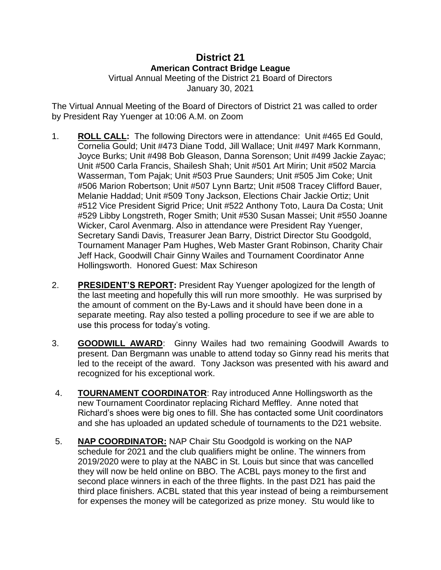## **District 21 American Contract Bridge League**

Virtual Annual Meeting of the District 21 Board of Directors January 30, 2021

The Virtual Annual Meeting of the Board of Directors of District 21 was called to order by President Ray Yuenger at 10:06 A.M. on Zoom

- 1. **ROLL CALL:** The following Directors were in attendance: Unit #465 Ed Gould, Cornelia Gould; Unit #473 Diane Todd, Jill Wallace; Unit #497 Mark Kornmann, Joyce Burks; Unit #498 Bob Gleason, Danna Sorenson; Unit #499 Jackie Zayac; Unit #500 Carla Francis, Shailesh Shah; Unit #501 Art Mirin; Unit #502 Marcia Wasserman, Tom Pajak; Unit #503 Prue Saunders; Unit #505 Jim Coke; Unit #506 Marion Robertson; Unit #507 Lynn Bartz; Unit #508 Tracey Clifford Bauer, Melanie Haddad; Unit #509 Tony Jackson, Elections Chair Jackie Ortiz; Unit #512 Vice President Sigrid Price; Unit #522 Anthony Toto, Laura Da Costa; Unit #529 Libby Longstreth, Roger Smith; Unit #530 Susan Massei; Unit #550 Joanne Wicker, Carol Avenmarg. Also in attendance were President Ray Yuenger, Secretary Sandi Davis, Treasurer Jean Barry, District Director Stu Goodgold, Tournament Manager Pam Hughes, Web Master Grant Robinson, Charity Chair Jeff Hack, Goodwill Chair Ginny Wailes and Tournament Coordinator Anne Hollingsworth. Honored Guest: Max Schireson
- 2. **PRESIDENT'S REPORT:** President Ray Yuenger apologized for the length of the last meeting and hopefully this will run more smoothly. He was surprised by the amount of comment on the By-Laws and it should have been done in a separate meeting. Ray also tested a polling procedure to see if we are able to use this process for today's voting.
- 3. **GOODWILL AWARD**: Ginny Wailes had two remaining Goodwill Awards to present. Dan Bergmann was unable to attend today so Ginny read his merits that led to the receipt of the award. Tony Jackson was presented with his award and recognized for his exceptional work.
- 4. **TOURNAMENT COORDINATOR**: Ray introduced Anne Hollingsworth as the new Tournament Coordinator replacing Richard Meffley. Anne noted that Richard's shoes were big ones to fill. She has contacted some Unit coordinators and she has uploaded an updated schedule of tournaments to the D21 website.
- 5. **NAP COORDINATOR:** NAP Chair Stu Goodgold is working on the NAP schedule for 2021 and the club qualifiers might be online. The winners from 2019/2020 were to play at the NABC in St. Louis but since that was cancelled they will now be held online on BBO. The ACBL pays money to the first and second place winners in each of the three flights. In the past D21 has paid the third place finishers. ACBL stated that this year instead of being a reimbursement for expenses the money will be categorized as prize money. Stu would like to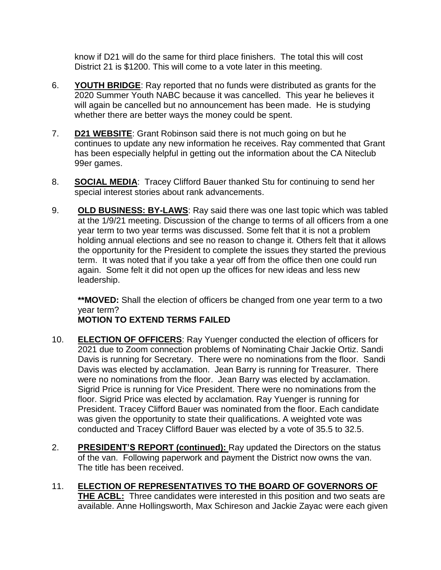know if D21 will do the same for third place finishers. The total this will cost District 21 is \$1200. This will come to a vote later in this meeting.

- 6. **YOUTH BRIDGE**: Ray reported that no funds were distributed as grants for the 2020 Summer Youth NABC because it was cancelled. This year he believes it will again be cancelled but no announcement has been made. He is studying whether there are better ways the money could be spent.
- 7. **D21 WEBSITE**: Grant Robinson said there is not much going on but he continues to update any new information he receives. Ray commented that Grant has been especially helpful in getting out the information about the CA Niteclub 99er games.
- 8. **SOCIAL MEDIA**: Tracey Clifford Bauer thanked Stu for continuing to send her special interest stories about rank advancements.
- 9. **OLD BUSINESS: BY-LAWS**: Ray said there was one last topic which was tabled at the 1/9/21 meeting. Discussion of the change to terms of all officers from a one year term to two year terms was discussed. Some felt that it is not a problem holding annual elections and see no reason to change it. Others felt that it allows the opportunity for the President to complete the issues they started the previous term. It was noted that if you take a year off from the office then one could run again. Some felt it did not open up the offices for new ideas and less new leadership.

**\*\*MOVED:** Shall the election of officers be changed from one year term to a two year term?

## **MOTION TO EXTEND TERMS FAILED**

- 10. **ELECTION OF OFFICERS**: Ray Yuenger conducted the election of officers for 2021 due to Zoom connection problems of Nominating Chair Jackie Ortiz. Sandi Davis is running for Secretary. There were no nominations from the floor. Sandi Davis was elected by acclamation. Jean Barry is running for Treasurer. There were no nominations from the floor. Jean Barry was elected by acclamation. Sigrid Price is running for Vice President. There were no nominations from the floor. Sigrid Price was elected by acclamation. Ray Yuenger is running for President. Tracey Clifford Bauer was nominated from the floor. Each candidate was given the opportunity to state their qualifications. A weighted vote was conducted and Tracey Clifford Bauer was elected by a vote of 35.5 to 32.5.
- 2. **PRESIDENT'S REPORT (continued):** Ray updated the Directors on the status of the van. Following paperwork and payment the District now owns the van. The title has been received.
- 11. **ELECTION OF REPRESENTATIVES TO THE BOARD OF GOVERNORS OF THE ACBL:** Three candidates were interested in this position and two seats are available. Anne Hollingsworth, Max Schireson and Jackie Zayac were each given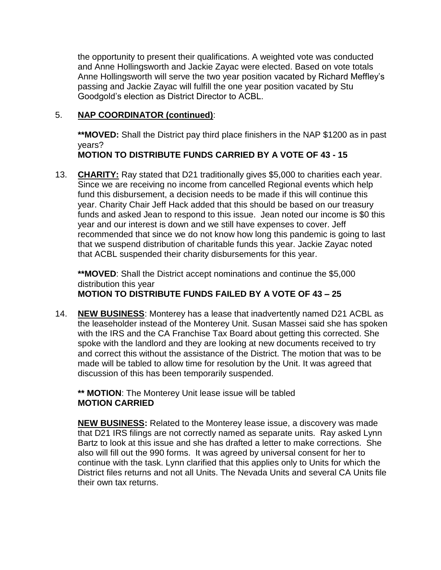the opportunity to present their qualifications. A weighted vote was conducted and Anne Hollingsworth and Jackie Zayac were elected. Based on vote totals Anne Hollingsworth will serve the two year position vacated by Richard Meffley's passing and Jackie Zayac will fulfill the one year position vacated by Stu Goodgold's election as District Director to ACBL.

## 5. **NAP COORDINATOR (continued)**:

**\*\*MOVED:** Shall the District pay third place finishers in the NAP \$1200 as in past years?

**MOTION TO DISTRIBUTE FUNDS CARRIED BY A VOTE OF 43 - 15**

13. **CHARITY:** Ray stated that D21 traditionally gives \$5,000 to charities each year. Since we are receiving no income from cancelled Regional events which help fund this disbursement, a decision needs to be made if this will continue this year. Charity Chair Jeff Hack added that this should be based on our treasury funds and asked Jean to respond to this issue. Jean noted our income is \$0 this year and our interest is down and we still have expenses to cover. Jeff recommended that since we do not know how long this pandemic is going to last that we suspend distribution of charitable funds this year. Jackie Zayac noted that ACBL suspended their charity disbursements for this year.

**\*\*MOVED**: Shall the District accept nominations and continue the \$5,000 distribution this year **MOTION TO DISTRIBUTE FUNDS FAILED BY A VOTE OF 43 – 25**

14. **NEW BUSINESS**: Monterey has a lease that inadvertently named D21 ACBL as the leaseholder instead of the Monterey Unit. Susan Massei said she has spoken with the IRS and the CA Franchise Tax Board about getting this corrected. She spoke with the landlord and they are looking at new documents received to try and correct this without the assistance of the District. The motion that was to be made will be tabled to allow time for resolution by the Unit. It was agreed that discussion of this has been temporarily suspended.

**\*\* MOTION**: The Monterey Unit lease issue will be tabled **MOTION CARRIED**

**NEW BUSINESS:** Related to the Monterey lease issue, a discovery was made that D21 IRS filings are not correctly named as separate units. Ray asked Lynn Bartz to look at this issue and she has drafted a letter to make corrections. She also will fill out the 990 forms. It was agreed by universal consent for her to continue with the task. Lynn clarified that this applies only to Units for which the District files returns and not all Units. The Nevada Units and several CA Units file their own tax returns.